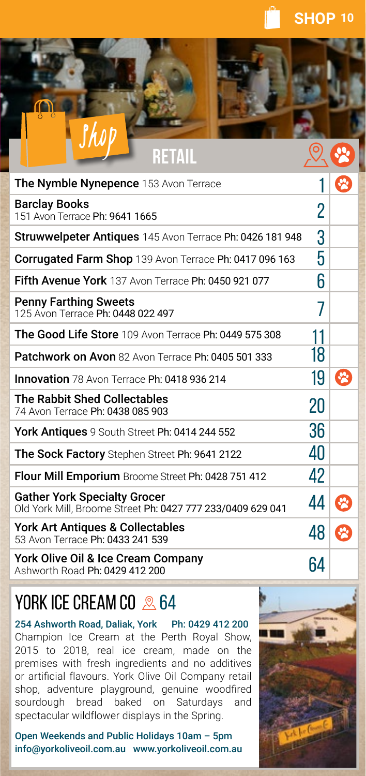

| RETAIL                                                                                            |    |   |
|---------------------------------------------------------------------------------------------------|----|---|
| The Nymble Nynepence 153 Avon Terrace                                                             |    |   |
| <b>Barclay Books</b><br>151 Avon Terrace Ph: 9641 1665                                            | 2  |   |
| Struwwelpeter Antiques 145 Avon Terrace Ph: 0426 181 948                                          | 3  |   |
| Corrugated Farm Shop 139 Avon Terrace Ph: 0417 096 163                                            | 5  |   |
| Fifth Avenue York 137 Avon Terrace Ph: 0450 921 077                                               | 6  |   |
| <b>Penny Farthing Sweets</b><br>125 Avon Terrace Ph: 0448 022 497                                 | 7  |   |
| The Good Life Store 109 Avon Terrace Ph: 0449 575 308                                             | 11 |   |
| Patchwork on Avon 82 Avon Terrace Ph: 0405 501 333                                                | 18 |   |
| <b>Innovation</b> 78 Avon Terrace Ph: 0418 936 214                                                | 19 |   |
| <b>The Rabbit Shed Collectables</b><br>74 Avon Terrace Ph: 0438 085 903                           | 20 |   |
| York Antiques 9 South Street Ph: 0414 244 552                                                     | 36 |   |
| The Sock Factory Stephen Street Ph: 9641 2122                                                     | 40 |   |
| Flour Mill Emporium Broome Street Ph: 0428 751 412                                                | 42 |   |
| <b>Gather York Specialty Grocer</b><br>Old York Mill, Broome Street Ph: 0427 777 233/0409 629 041 | 44 | R |
| York Art Antiques & Collectables<br>53 Avon Terrace Ph: 0433 241 539                              | 48 |   |
| York Olive Oil & Ice Cream Company<br>Achworth Dood Dh: 0420 412 200                              | 64 |   |

Ashworth Road Ph: 0429 412 200

## YORK ICE CREAM CO  $\approx$  64

254 Ashworth Road, Daliak, York Ph: 0429 412 200 Champion Ice Cream at the Perth Royal Show, 2015 to 2018, real ice cream, made on the premises with fresh ingredients and no additives or artificial flavours. York Olive Oil Company retail shop, adventure playground, genuine woodfired sourdough bread baked on Saturdays and spectacular wildflower displays in the Spring.

Open Weekends and Public Holidays 10am – 5pm info@yorkoliveoil.com.au www.yorkoliveoil.com.au